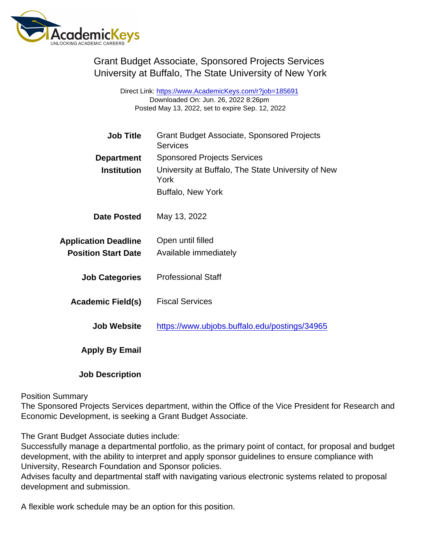Grant Budget Associate, Sponsored Projects Services University at Buffalo, The State University of New York

> Direct Link: <https://www.AcademicKeys.com/r?job=185691> Downloaded On: Jun. 26, 2022 8:26pm Posted May 13, 2022, set to expire Sep. 12, 2022

| <b>Job Title</b>            | <b>Grant Budget Associate, Sponsored Projects</b><br><b>Services</b> |
|-----------------------------|----------------------------------------------------------------------|
| Department                  | <b>Sponsored Projects Services</b>                                   |
| Institution                 | University at Buffalo, The State University of New<br>York           |
|                             | Buffalo, New York                                                    |
| Date Posted                 | May 13, 2022                                                         |
| <b>Application Deadline</b> | Open until filled                                                    |
| <b>Position Start Date</b>  | Available immediately                                                |
| <b>Job Categories</b>       | <b>Professional Staff</b>                                            |
| Academic Field(s)           | <b>Fiscal Services</b>                                               |
| Job Website                 | https://www.ubjobs.buffalo.edu/postings/34965                        |
| Apply By Email              |                                                                      |
| <b>Job Description</b>      |                                                                      |

Position Summary

The Sponsored Projects Services department, within the Office of the Vice President for Research and Economic Development, is seeking a Grant Budget Associate.

The Grant Budget Associate duties include:

Successfully manage a departmental portfolio, as the primary point of contact, for proposal and budget development, with the ability to interpret and apply sponsor guidelines to ensure compliance with University, Research Foundation and Sponsor policies.

Advises faculty and departmental staff with navigating various electronic systems related to proposal development and submission.

A flexible work schedule may be an option for this position.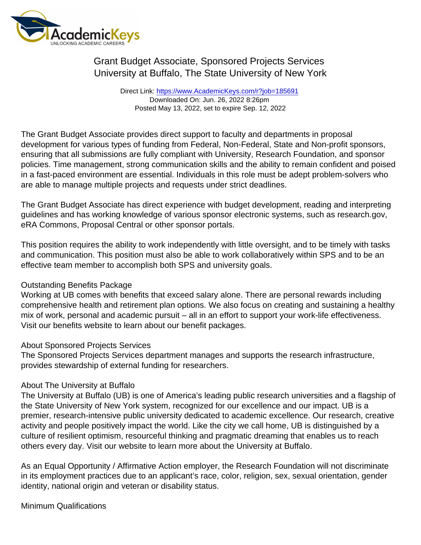# Grant Budget Associate, Sponsored Projects Services University at Buffalo, The State University of New York

Direct Link: <https://www.AcademicKeys.com/r?job=185691> Downloaded On: Jun. 26, 2022 8:26pm Posted May 13, 2022, set to expire Sep. 12, 2022

The Grant Budget Associate provides direct support to faculty and departments in proposal development for various types of funding from Federal, Non-Federal, State and Non-profit sponsors, ensuring that all submissions are fully compliant with University, Research Foundation, and sponsor policies. Time management, strong communication skills and the ability to remain confident and poised in a fast-paced environment are essential. Individuals in this role must be adept problem-solvers who are able to manage multiple projects and requests under strict deadlines.

The Grant Budget Associate has direct experience with budget development, reading and interpreting guidelines and has working knowledge of various sponsor electronic systems, such as research.gov, eRA Commons, Proposal Central or other sponsor portals.

This position requires the ability to work independently with little oversight, and to be timely with tasks and communication. This position must also be able to work collaboratively within SPS and to be an effective team member to accomplish both SPS and university goals.

#### Outstanding Benefits Package

Working at UB comes with benefits that exceed salary alone. There are personal rewards including comprehensive health and retirement plan options. We also focus on creating and sustaining a healthy mix of work, personal and academic pursuit – all in an effort to support your work-life effectiveness. Visit our benefits website to learn about our benefit packages.

#### About Sponsored Projects Services

The Sponsored Projects Services department manages and supports the research infrastructure, provides stewardship of external funding for researchers.

### About The University at Buffalo

The University at Buffalo (UB) is one of America's leading public research universities and a flagship of the State University of New York system, recognized for our excellence and our impact. UB is a premier, research-intensive public university dedicated to academic excellence. Our research, creative activity and people positively impact the world. Like the city we call home, UB is distinguished by a culture of resilient optimism, resourceful thinking and pragmatic dreaming that enables us to reach others every day. Visit our website to learn more about the University at Buffalo.

As an Equal Opportunity / Affirmative Action employer, the Research Foundation will not discriminate in its employment practices due to an applicant's race, color, religion, sex, sexual orientation, gender identity, national origin and veteran or disability status.

Minimum Qualifications